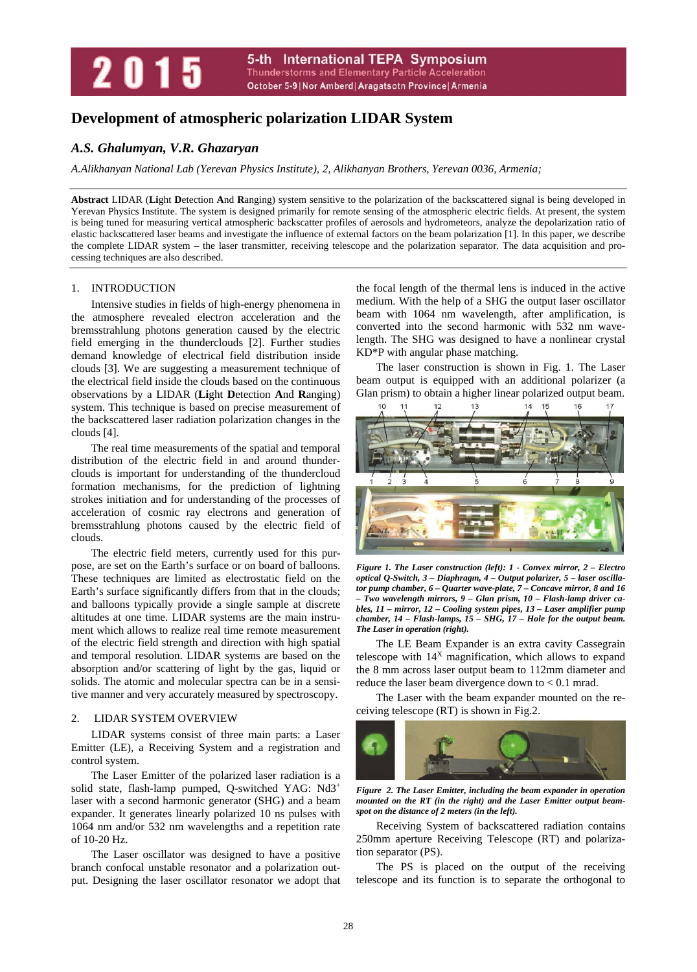## 5-th International TEPA Symposium 2015 **Thunderstorms and Elementary Particle Acceleration** October 5-9 | Nor Amberd | Aragatsotn Province | Armenia

# **Development of atmospheric polarization LIDAR System**

# *A.S. Ghalumyan, V.R. Ghazaryan*

*A.Alikhanyan National Lab (Yerevan Physics Institute), 2, Alikhanyan Brothers, Yerevan 0036, Armenia;* 

**Abstract** LIDAR (**Li**ght **D**etection **A**nd **R**anging) system sensitive to the polarization of the backscattered signal is being developed in Yerevan Physics Institute. The system is designed primarily for remote sensing of the atmospheric electric fields. At present, the system is being tuned for measuring vertical atmospheric backscatter profiles of aerosols and hydrometeors, analyze the depolarization ratio of elastic backscattered laser beams and investigate the influence of external factors on the beam polarization [1]. In this paper, we describe the complete LIDAR system – the laser transmitter, receiving telescope and the polarization separator. The data acquisition and processing techniques are also described.

## 1. INTRODUCTION

Intensive studies in fields of high-energy phenomena in the atmosphere revealed electron acceleration and the bremsstrahlung photons generation caused by the electric field emerging in the thunderclouds [2]. Further studies demand knowledge of electrical field distribution inside clouds [3]. We are suggesting a measurement technique of the electrical field inside the clouds based on the continuous observations by a LIDAR (**Li**ght **D**etection **A**nd **R**anging) system. This technique is based on precise measurement of the backscattered laser radiation polarization changes in the clouds [4].

The real time measurements of the spatial and temporal distribution of the electric field in and around thunderclouds is important for understanding of the thundercloud formation mechanisms, for the prediction of lightning strokes initiation and for understanding of the processes of acceleration of cosmic ray electrons and generation of bremsstrahlung photons caused by the electric field of clouds.

The electric field meters, currently used for this purpose, are set on the Earth's surface or on board of balloons. These techniques are limited as electrostatic field on the Earth's surface significantly differs from that in the clouds; and balloons typically provide a single sample at discrete altitudes at one time. LIDAR systems are the main instrument which allows to realize real time remote measurement of the electric field strength and direction with high spatial and temporal resolution. LIDAR systems are based on the absorption and/or scattering of light by the gas, liquid or solids. The atomic and molecular spectra can be in a sensitive manner and very accurately measured by spectroscopy.

## 2. LIDAR SYSTEM OVERVIEW

LIDAR systems consist of three main parts: a Laser Emitter (LE), a Receiving System and a registration and control system.

The Laser Emitter of the polarized laser radiation is a solid state, flash-lamp pumped, Q-switched YAG: Nd3+ laser with a second harmonic generator (SHG) and a beam expander. It generates linearly polarized 10 ns pulses with 1064 nm and/or 532 nm wavelengths and a repetition rate of 10-20 Hz.

The Laser oscillator was designed to have a positive branch confocal unstable resonator and a polarization output. Designing the laser oscillator resonator we adopt that the focal length of the thermal lens is induced in the active medium. With the help of a SHG the output laser oscillator beam with 1064 nm wavelength, after amplification, is converted into the second harmonic with 532 nm wavelength. The SHG was designed to have a nonlinear crystal KD\*P with angular phase matching.

The laser construction is shown in Fig. 1. The Laser beam output is equipped with an additional polarizer (a Glan prism) to obtain a higher linear polarized output beam.



*Figure 1. The Laser construction (left): 1 - Convex mirror, 2 – Electro optical Q-Switch, 3 – Diaphragm, 4 – Output polarizer, 5 – laser oscillator pump chamber, 6 – Quarter wave-plate, 7 – Concave mirror, 8 and 16 – Two wavelength mirrors, 9 – Glan prism, 10 – Flash-lamp driver cables, 11 – mirror, 12 – Cooling system pipes, 13 – Laser amplifier pump chamber, 14 – Flash-lamps, 15 – SHG, 17 – Hole for the output beam. The Laser in operation (right).* 

The LE Beam Expander is an extra cavity Cassegrain telescope with  $14<sup>X</sup>$  magnification, which allows to expand the 8 mm across laser output beam to 112mm diameter and reduce the laser beam divergence down to  $< 0.1$  mrad.

The Laser with the beam expander mounted on the receiving telescope (RT) is shown in Fig.2.



*Figure 2. The Laser Emitter, including the beam expander in operation mounted on the RT (in the right) and the Laser Emitter output beamspot on the distance of 2 meters (in the left).* 

Receiving System of backscattered radiation contains 250mm aperture Receiving Telescope (RT) and polarization separator (PS).

The PS is placed on the output of the receiving telescope and its function is to separate the orthogonal to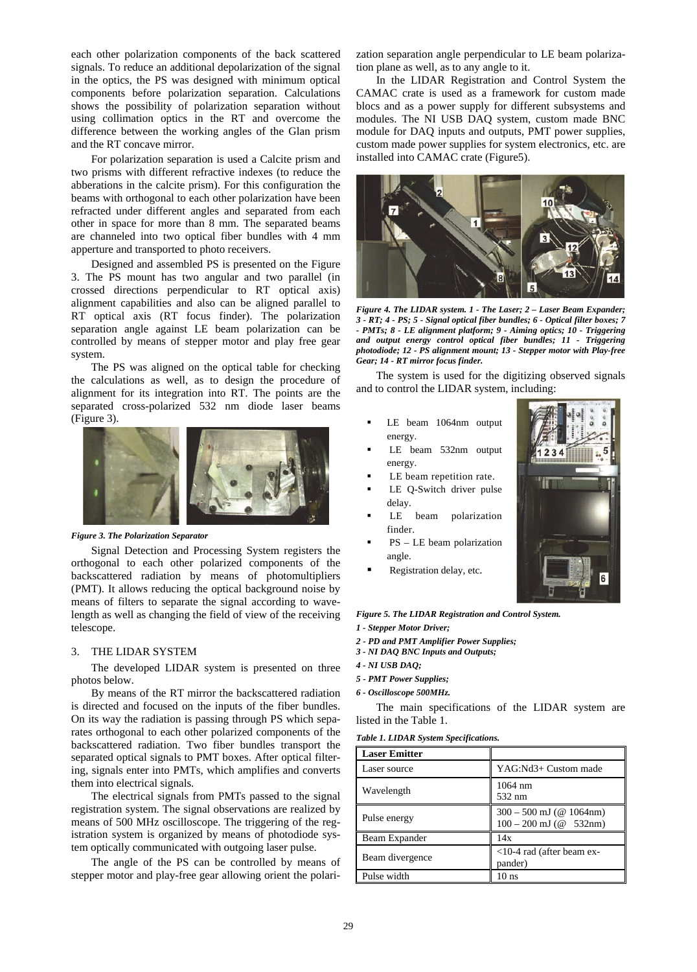each other polarization components of the back scattered signals. To reduce an additional depolarization of the signal in the optics, the PS was designed with minimum optical components before polarization separation. Calculations shows the possibility of polarization separation without using collimation optics in the RT and overcome the difference between the working angles of the Glan prism and the RT concave mirror.

For polarization separation is used a Calcite prism and two prisms with different refractive indexes (to reduce the abberations in the calcite prism). For this configuration the beams with orthogonal to each other polarization have been refracted under different angles and separated from each other in space for more than 8 mm. The separated beams are channeled into two optical fiber bundles with 4 mm apperture and transported to photo receivers.

Designed and assembled PS is presented on the Figure 3. The PS mount has two angular and two parallel (in crossed directions perpendicular to RT optical axis) alignment capabilities and also can be aligned parallel to RT optical axis (RT focus finder). The polarization separation angle against LE beam polarization can be controlled by means of stepper motor and play free gear system.

The PS was aligned on the optical table for checking the calculations as well, as to design the procedure of alignment for its integration into RT. The points are the separated cross-polarized 532 nm diode laser beams (Figure 3).



*Figure 3. The Polarization Separator* 

Signal Detection and Processing System registers the orthogonal to each other polarized components of the backscattered radiation by means of photomultipliers (PMT). It allows reducing the optical background noise by means of filters to separate the signal according to wavelength as well as changing the field of view of the receiving telescope.

## 3. THE LIDAR SYSTEM

The developed LIDAR system is presented on three photos below.

By means of the RT mirror the backscattered radiation is directed and focused on the inputs of the fiber bundles. On its way the radiation is passing through PS which separates orthogonal to each other polarized components of the backscattered radiation. Two fiber bundles transport the separated optical signals to PMT boxes. After optical filtering, signals enter into PMTs, which amplifies and converts them into electrical signals.

The electrical signals from PMTs passed to the signal registration system. The signal observations are realized by means of 500 MHz oscilloscope. The triggering of the registration system is organized by means of photodiode system optically communicated with outgoing laser pulse.

The angle of the PS can be controlled by means of stepper motor and play-free gear allowing orient the polarization separation angle perpendicular to LE beam polarization plane as well, as to any angle to it.

In the LIDAR Registration and Control System the CAMAC crate is used as a framework for custom made blocs and as a power supply for different subsystems and modules. The NI USB DAQ system, custom made BNC module for DAQ inputs and outputs, PMT power supplies, custom made power supplies for system electronics, etc. are installed into CAMAC crate (Figure5).



*Figure 4. The LIDAR system. 1 - The Laser; 2 – Laser Beam Expander; 3 - RT; 4 - PS; 5 - Signal optical fiber bundles; 6 - Optical filter boxes; 7 - PMTs; 8 - LE alignment platform; 9 - Aiming optics; 10 - Triggering and output energy control optical fiber bundles; 11 - Triggering photodiode; 12 - PS alignment mount; 13 - Stepper motor with Play-free Gear; 14 - RT mirror focus finder.* 

The system is used for the digitizing observed signals and to control the LIDAR system, including:

- LE beam 1064nm output energy.
- LE beam 532nm output energy.
- LE beam repetition rate.
- LE Q-Switch driver pulse delay.
- LE beam polarization finder.
- PS LE beam polarization angle.
- Registration delay, etc.

*Figure 5. The LIDAR Registration and Control System.* 

- *1 Stepper Motor Driver;*
- *2 PD and PMT Amplifier Power Supplies;*
- *3 NI DAQ BNC Inputs and Outputs;*
- *4 NI USB DAQ;*
- *5 PMT Power Supplies;*
- *6 Oscilloscope 500MHz.*

The main specifications of the LIDAR system are listed in the Table 1.

|  |  | Table 1. LIDAR System Specifications. |
|--|--|---------------------------------------|
|--|--|---------------------------------------|

| <b>Laser Emitter</b> |                                                       |
|----------------------|-------------------------------------------------------|
| Laser source         | YAG:Nd3+ Custom made                                  |
| Wavelength           | 1064 nm<br>532 nm                                     |
| Pulse energy         | $300 - 500$ mJ (@ 1064nm)<br>$100 - 200$ mJ (@ 532nm) |
| Beam Expander        | 14x                                                   |
| Beam divergence      | $<$ 10-4 rad (after beam ex-<br>pander)               |
| Pulse width          | 10 <sub>ns</sub>                                      |